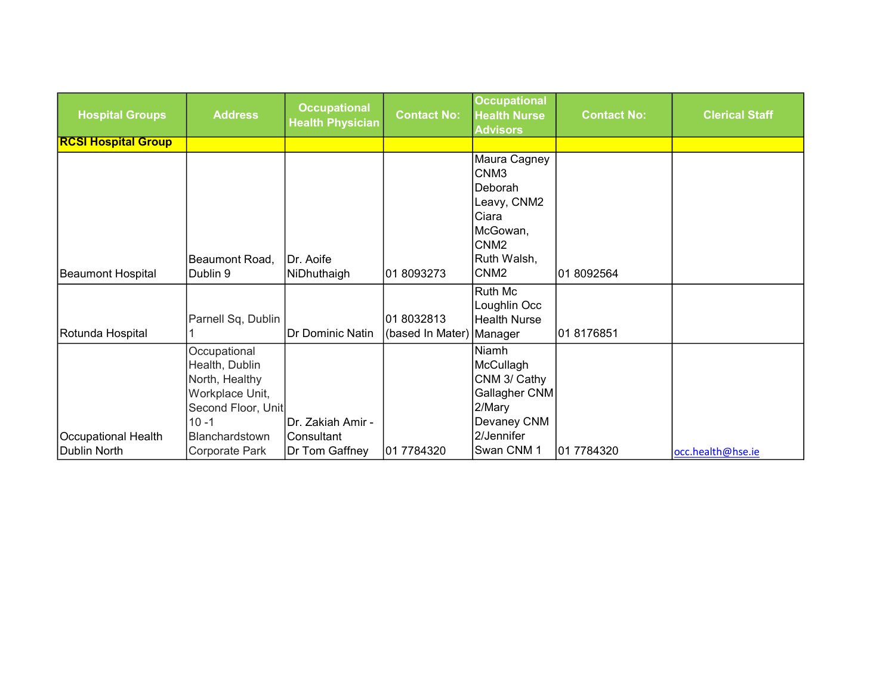| <b>Hospital Groups</b>              | <b>Address</b>                                                                                                                            | <b>Occupational</b><br><b>Health Physician</b>     | <b>Contact No:</b>                      | <b>Occupational</b><br><b>Health Nurse</b><br><b>Advisors</b>                                                                          | <b>Contact No:</b> | <b>Clerical Staff</b> |
|-------------------------------------|-------------------------------------------------------------------------------------------------------------------------------------------|----------------------------------------------------|-----------------------------------------|----------------------------------------------------------------------------------------------------------------------------------------|--------------------|-----------------------|
| <b>RCSI Hospital Group</b>          |                                                                                                                                           |                                                    |                                         |                                                                                                                                        |                    |                       |
| Beaumont Hospital                   | Beaumont Road,<br>Dublin 9                                                                                                                | IDr. Aoife<br>NiDhuthaigh                          | 01 8093273                              | Maura Cagney<br>CNM <sub>3</sub><br>Deborah<br>Leavy, CNM2<br>Ciara<br>McGowan,<br>CNM <sub>2</sub><br>Ruth Walsh,<br>CNM <sub>2</sub> | 01 8092564         |                       |
| Rotunda Hospital                    | Parnell Sq, Dublin                                                                                                                        | Dr Dominic Natin                                   | 018032813<br>(based In Mater)   Manager | Ruth Mc<br>Loughlin Occ<br><b>Health Nurse</b>                                                                                         | 01 8176851         |                       |
| Occupational Health<br>Dublin North | Occupational<br>Health, Dublin<br>North, Healthy<br>Workplace Unit,<br>Second Floor, Unit<br>$10 - 1$<br>Blanchardstown<br>Corporate Park | Dr. Zakiah Amir -<br>lConsultant<br>Dr Tom Gaffney | 01 7784320                              | Niamh<br>McCullagh<br>CNM 3/ Cathy<br>Gallagher CNM<br>2/Mary<br>Devaney CNM<br>2/Jennifer<br>Swan CNM 1                               | 01 7784320         | occ.health@hse.ie     |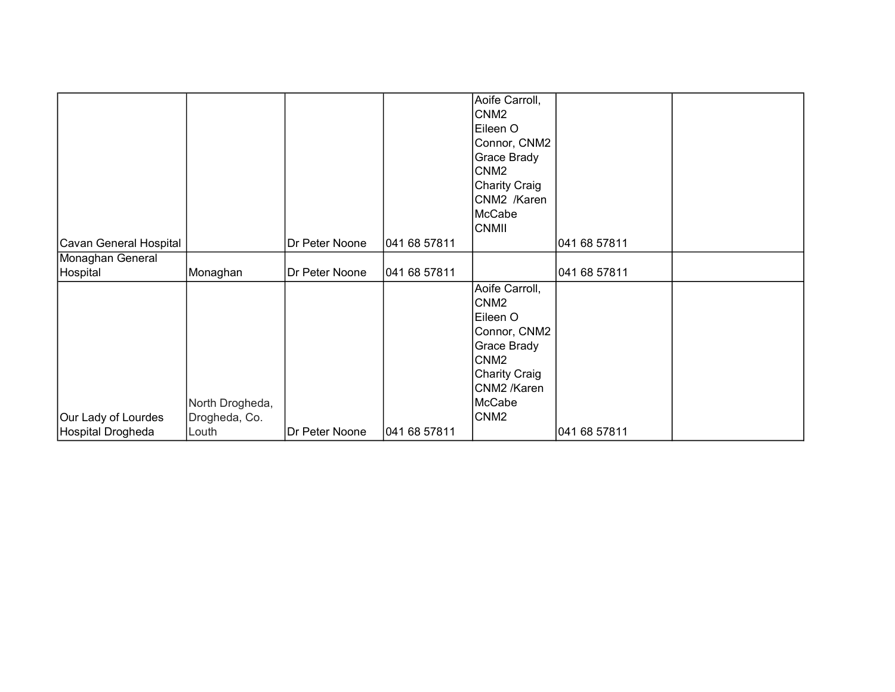| Cavan General Hospital                   |                                           | Dr Peter Noone | 041 68 57811 | Aoife Carroll,<br>CNM <sub>2</sub><br>Eileen O<br>Connor, CNM2<br>Grace Brady<br>CNM <sub>2</sub><br>Charity Craig<br>CNM2 /Karen<br>McCabe<br><b>CNMII</b>     | 041 68 57811 |  |
|------------------------------------------|-------------------------------------------|----------------|--------------|-----------------------------------------------------------------------------------------------------------------------------------------------------------------|--------------|--|
| Monaghan General                         |                                           |                |              |                                                                                                                                                                 |              |  |
| Hospital                                 | Monaghan                                  | Dr Peter Noone | 041 68 57811 |                                                                                                                                                                 | 041 68 57811 |  |
| Our Lady of Lourdes<br>Hospital Drogheda | North Drogheda,<br>Drogheda, Co.<br>Louth | Dr Peter Noone | 041 68 57811 | Aoife Carroll,<br>CNM <sub>2</sub><br>Eileen O<br>Connor, CNM2<br>Grace Brady<br>CNM <sub>2</sub><br>Charity Craig<br>CNM2 /Karen<br>McCabe<br>CNM <sub>2</sub> | 041 68 57811 |  |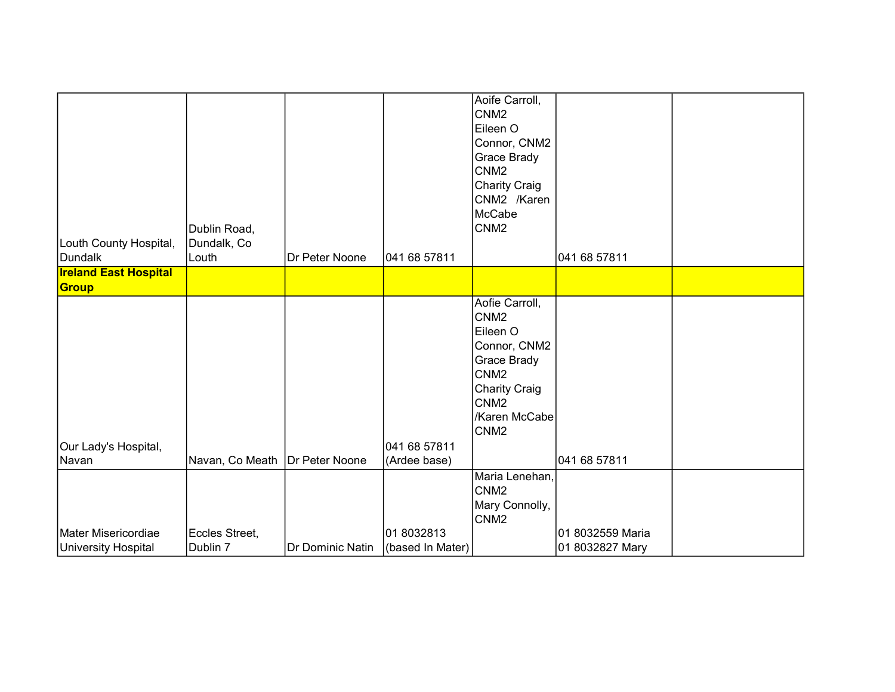| Louth County Hospital,<br>Dundalk | Dublin Road,<br>Dundalk, Co<br>Louth | Dr Peter Noone   | 041 68 57811     | Aoife Carroll,<br>CNM <sub>2</sub><br>Eileen O<br>Connor, CNM2<br>Grace Brady<br>CNM <sub>2</sub><br>Charity Craig<br>CNM2 /Karen<br>McCabe<br>CNM <sub>2</sub>        | 041 68 57811     |  |
|-----------------------------------|--------------------------------------|------------------|------------------|------------------------------------------------------------------------------------------------------------------------------------------------------------------------|------------------|--|
| <b>Ireland East Hospital</b>      |                                      |                  |                  |                                                                                                                                                                        |                  |  |
| Group                             |                                      |                  |                  |                                                                                                                                                                        |                  |  |
|                                   |                                      |                  |                  | Aofie Carroll,<br>CNM <sub>2</sub><br>Eileen O<br>Connor, CNM2<br>Grace Brady<br>CNM <sub>2</sub><br><b>Charity Craig</b><br>CNM <sub>2</sub><br>/Karen McCabe<br>CNM2 |                  |  |
| Our Lady's Hospital,              |                                      |                  | 041 68 57811     |                                                                                                                                                                        |                  |  |
| Navan                             | Navan, Co Meath                      | Dr Peter Noone   | (Ardee base)     |                                                                                                                                                                        | 041 68 57811     |  |
| Mater Misericordiae               | Eccles Street,                       |                  | 01 8032813       | Maria Lenehan,<br>CNM <sub>2</sub><br>Mary Connolly,<br>CNM <sub>2</sub>                                                                                               | 01 8032559 Maria |  |
| University Hospital               | Dublin 7                             | Dr Dominic Natin | (based In Mater) |                                                                                                                                                                        | 01 8032827 Mary  |  |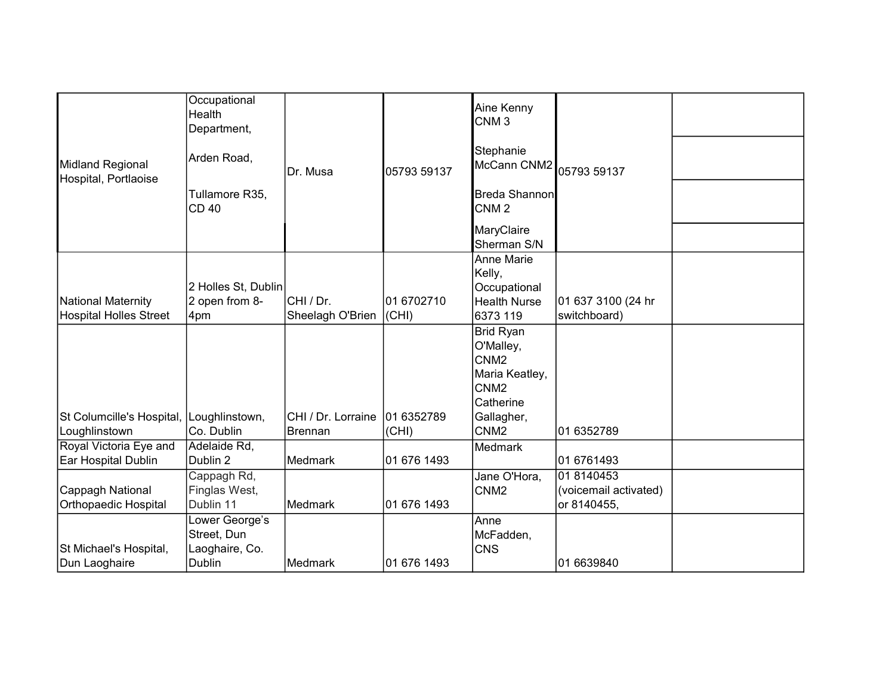|                                          | Occupational<br>Health<br>Department,           |                    |             | Aine Kenny<br>CNM <sub>3</sub>                                                                       |                                                    |  |
|------------------------------------------|-------------------------------------------------|--------------------|-------------|------------------------------------------------------------------------------------------------------|----------------------------------------------------|--|
| Midland Regional<br>Hospital, Portlaoise | Arden Road,                                     | Dr. Musa           | 05793 59137 | Stephanie<br>McCann CNM2 05793 59137                                                                 |                                                    |  |
|                                          | Tullamore R35,<br><b>CD 40</b>                  |                    |             | Breda Shannon<br>CNM <sub>2</sub>                                                                    |                                                    |  |
|                                          |                                                 |                    |             | MaryClaire<br>Sherman S/N                                                                            |                                                    |  |
| National Maternity                       | 2 Holles St, Dublin<br>2 open from 8-           | CHI / Dr.          | 01 6702710  | <b>Anne Marie</b><br>Kelly,<br>Occupational<br><b>Health Nurse</b>                                   | 01 637 3100 (24 hr                                 |  |
| Hospital Holles Street                   | 4pm                                             | Sheelagh O'Brien   | (CHI)       | 6373 119                                                                                             | switchboard)                                       |  |
|                                          |                                                 |                    |             | <b>Brid Ryan</b><br>O'Malley,<br>CNM <sub>2</sub><br>Maria Keatley,<br>CNM <sub>2</sub><br>Catherine |                                                    |  |
| St Columcille's Hospital, Loughlinstown, |                                                 | CHI / Dr. Lorraine | 01 6352789  | Gallagher,                                                                                           |                                                    |  |
| Loughlinstown<br>Royal Victoria Eye and  | Co. Dublin<br>Adelaide Rd,                      | <b>Brennan</b>     | (CHI)       | CNM <sub>2</sub>                                                                                     | 01 6352789                                         |  |
| Ear Hospital Dublin                      | Dublin 2                                        | Medmark            | 01 676 1493 | Medmark                                                                                              | 01 6761493                                         |  |
| Cappagh National<br>Orthopaedic Hospital | Cappagh Rd,<br>Finglas West,<br>Dublin 11       | İMedmark           | 01 676 1493 | Jane O'Hora,<br>CNM <sub>2</sub>                                                                     | 01 8140453<br>(voicemail activated)<br>or 8140455, |  |
| St Michael's Hospital,                   | Lower George's<br>Street, Dun<br>Laoghaire, Co. |                    |             | Anne<br>McFadden,<br><b>CNS</b>                                                                      |                                                    |  |
| Dun Laoghaire                            | <b>Dublin</b>                                   | Medmark            | 01 676 1493 |                                                                                                      | 01 6639840                                         |  |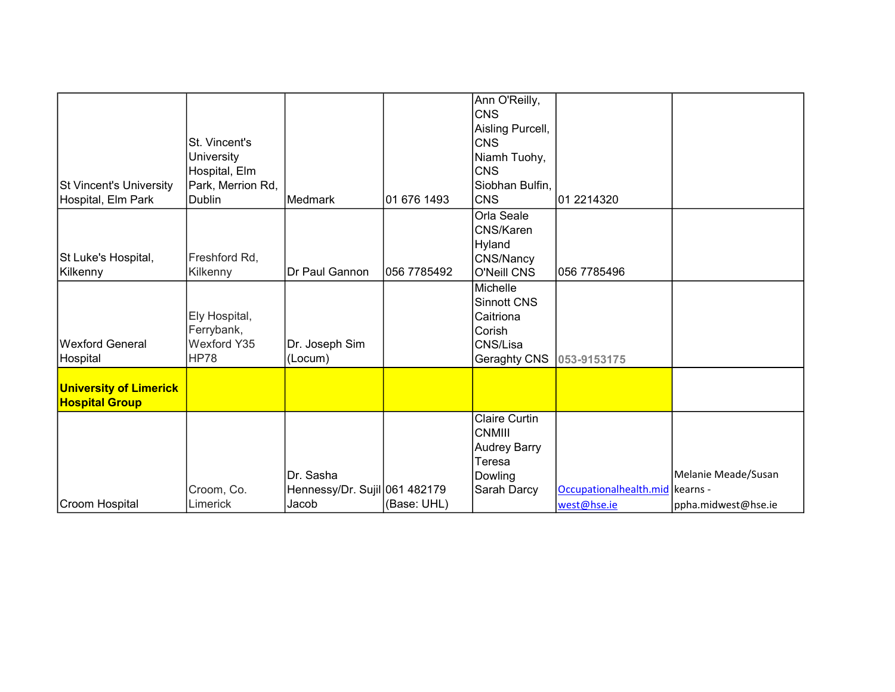| <b>St Vincent's University</b><br>Hospital, Elm Park | St. Vincent's<br>University<br>Hospital, Elm<br>Park, Merrion Rd,<br>Dublin | Medmark                                             | 01 676 1493 | Ann O'Reilly,<br><b>CNS</b><br>Aisling Purcell,<br>ICNS<br>Niamh Tuohy,<br>ICNS<br>Siobhan Bulfin,<br>ICNS | 01 2214320                                     |                                            |
|------------------------------------------------------|-----------------------------------------------------------------------------|-----------------------------------------------------|-------------|------------------------------------------------------------------------------------------------------------|------------------------------------------------|--------------------------------------------|
| St Luke's Hospital,<br>Kilkenny                      | Freshford Rd,<br>Kilkenny                                                   | Dr Paul Gannon                                      | 056 7785492 | Orla Seale<br>CNS/Karen<br>Hyland<br>CNS/Nancy<br>O'Neill CNS                                              | 056 7785496                                    |                                            |
| <b>Wexford General</b><br>Hospital                   | Ely Hospital,<br>Ferrybank,<br>Wexford Y35<br>HP78                          | Dr. Joseph Sim<br>(Locum)                           |             | lMichelle<br>Sinnott CNS<br>Caitriona<br>Corish<br>CNS/Lisa<br>Geraghty CNS                                | 053-9153175                                    |                                            |
| University of Limerick<br><b>Hospital Group</b>      |                                                                             |                                                     |             |                                                                                                            |                                                |                                            |
| Croom Hospital                                       | Croom, Co.<br>Limerick                                                      | Dr. Sasha<br>Hennessy/Dr. Sujil 061 482179<br>Jacob | (Base: UHL) | <b>Claire Curtin</b><br>CNMIII<br>Audrey Barry <br>Teresa<br>Dowling<br>Sarah Darcy                        | Occupationalhealth.mid kearns -<br>west@hse.ie | Melanie Meade/Susan<br>ppha.midwest@hse.ie |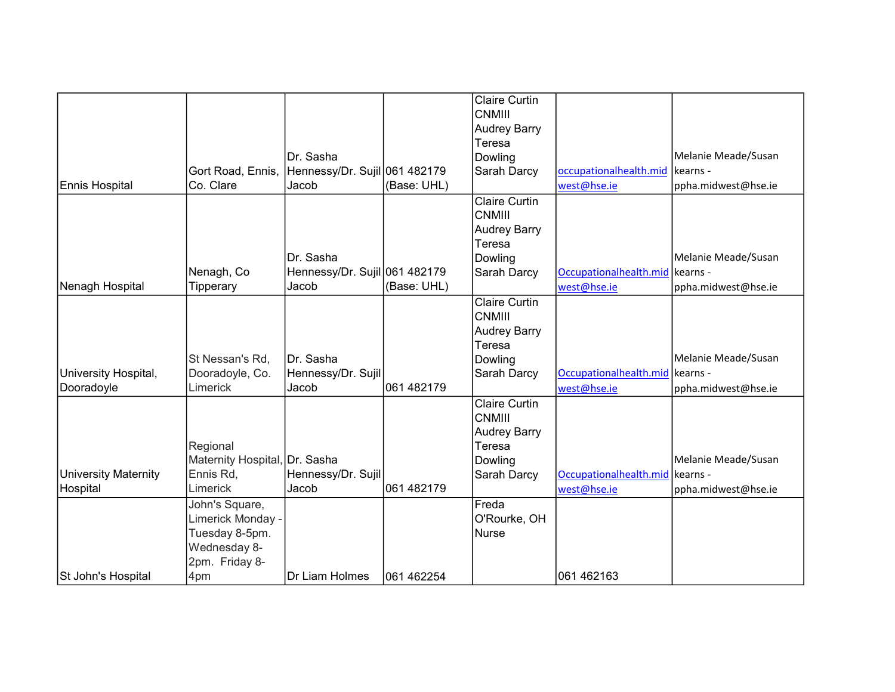|                       |                               |                               |             | <b>Claire Curtin</b>                  |                                   |                     |
|-----------------------|-------------------------------|-------------------------------|-------------|---------------------------------------|-----------------------------------|---------------------|
|                       |                               |                               |             | <b>CNMIII</b>                         |                                   |                     |
|                       |                               |                               |             | <b>Audrey Barry</b>                   |                                   |                     |
|                       |                               |                               |             | Teresa                                |                                   |                     |
|                       |                               | IDr. Sasha                    |             | Dowling                               |                                   | Melanie Meade/Susan |
|                       | Gort Road, Ennis,             | Hennessy/Dr. Sujil 061 482179 |             | Sarah Darcy                           | occupationalhealth.mid            | kearns -            |
| <b>Ennis Hospital</b> | Co. Clare                     | Jacob                         | (Base: UHL) |                                       | west@hse.ie                       | ppha.midwest@hse.ie |
|                       |                               |                               |             | <b>Claire Curtin</b><br><b>CNMIII</b> |                                   |                     |
|                       |                               |                               |             | <b>Audrey Barry</b>                   |                                   |                     |
|                       |                               |                               |             | Teresa                                |                                   |                     |
|                       |                               | Dr. Sasha                     |             | Dowling                               |                                   | Melanie Meade/Susan |
|                       | Nenagh, Co                    | Hennessy/Dr. Sujil 061 482179 |             | Sarah Darcy                           | Occupationalhealth.mid kearns -   |                     |
| Nenagh Hospital       | Tipperary                     | Jacob                         | (Base: UHL) |                                       | west@hse.ie                       | ppha.midwest@hse.ie |
|                       |                               |                               |             | <b>Claire Curtin</b>                  |                                   |                     |
|                       |                               |                               |             | <b>CNMIII</b>                         |                                   |                     |
|                       |                               |                               |             | <b>Audrey Barry</b>                   |                                   |                     |
|                       |                               |                               |             | Teresa                                |                                   |                     |
|                       | St Nessan's Rd,               | Dr. Sasha                     |             | Dowling                               |                                   | Melanie Meade/Susan |
| University Hospital,  | Dooradoyle, Co.               | Hennessy/Dr. Sujil            |             | Sarah Darcy                           | Occupationalhealth.mid kearns -   |                     |
| Dooradoyle            | Limerick                      | Jacob                         | 061 482179  |                                       | west@hse.ie                       | ppha.midwest@hse.ie |
|                       |                               |                               |             | <b>Claire Curtin</b>                  |                                   |                     |
|                       |                               |                               |             | <b>CNMIII</b>                         |                                   |                     |
|                       |                               |                               |             | <b>Audrey Barry</b>                   |                                   |                     |
|                       | Regional                      |                               |             | Teresa                                |                                   |                     |
|                       | Maternity Hospital, Dr. Sasha |                               |             | Dowling                               |                                   | Melanie Meade/Susan |
| University Maternity  | Ennis Rd,                     | Hennessy/Dr. Sujil            |             | Sarah Darcy                           | Occupationalhealth.mid   kearns - |                     |
| Hospital              | Limerick                      | Jacob                         | 061 482179  |                                       |                                   |                     |
|                       |                               |                               |             |                                       | west@hse.ie                       | ppha.midwest@hse.ie |
|                       | John's Square,                |                               |             | Freda                                 |                                   |                     |
|                       | Limerick Monday -             |                               |             | O'Rourke, OH                          |                                   |                     |
|                       | Tuesday 8-5pm.                |                               |             | Nurse                                 |                                   |                     |
|                       | Wednesday 8-                  |                               |             |                                       |                                   |                     |
|                       | 2pm. Friday 8-                |                               |             |                                       |                                   |                     |
| St John's Hospital    | 4pm                           | Dr Liam Holmes                | 061 462254  |                                       | 061 462163                        |                     |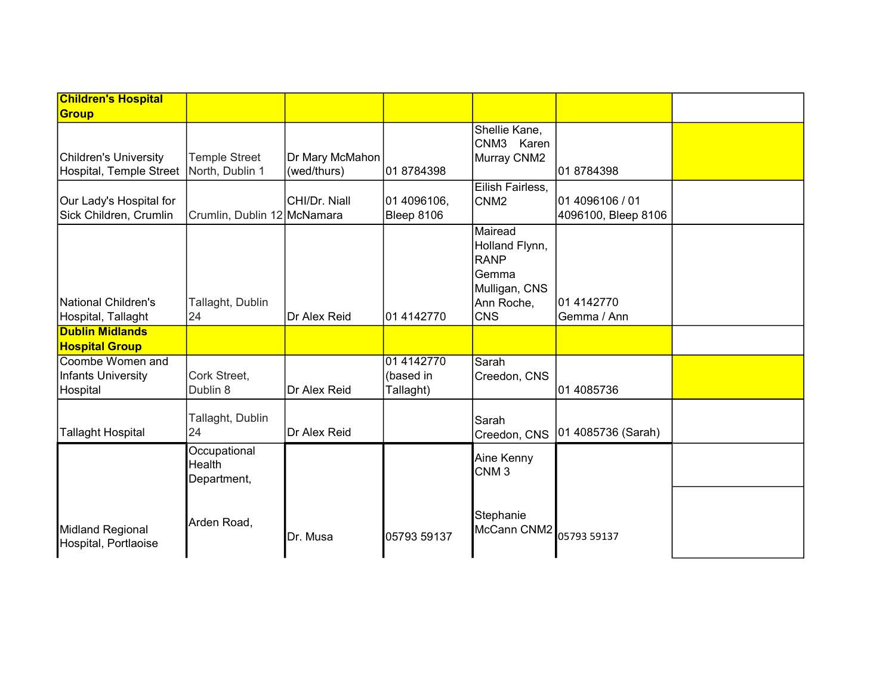| <b>Children's Hospital</b>                                                |                                       |                                |                                      |                                                                                                |                                        |  |
|---------------------------------------------------------------------------|---------------------------------------|--------------------------------|--------------------------------------|------------------------------------------------------------------------------------------------|----------------------------------------|--|
| <b>Group</b>                                                              |                                       |                                |                                      |                                                                                                |                                        |  |
| <b>Children's University</b><br>Hospital, Temple Street   North, Dublin 1 | <b>Temple Street</b>                  | Dr Mary McMahon<br>(wed/thurs) | 018784398                            | Shellie Kane,<br>CNM3 Karen<br>Murray CNM2                                                     | 01 8784398                             |  |
| Our Lady's Hospital for<br>Sick Children, Crumlin                         | Crumlin, Dublin 12 McNamara           | CHI/Dr. Niall                  | 01 4096106,<br>Bleep 8106            | Eilish Fairless,<br>CNM <sub>2</sub>                                                           | 01 4096106 / 01<br>4096100, Bleep 8106 |  |
| National Children's<br>Hospital, Tallaght                                 | Tallaght, Dublin<br>24                | Dr Alex Reid                   | 01 4142770                           | Mairead<br>Holland Flynn,<br><b>RANP</b><br>Gemma<br>Mulligan, CNS<br>Ann Roche,<br><b>CNS</b> | 01 4142770<br>Gemma / Ann              |  |
| <b>Dublin Midlands</b><br><b>Hospital Group</b>                           |                                       |                                |                                      |                                                                                                |                                        |  |
| Coombe Women and<br><b>Infants University</b><br>Hospital                 | Cork Street,<br>Dublin 8              | Dr Alex Reid                   | 01 4142770<br>(based in<br>Tallaght) | Sarah<br>Creedon, CNS                                                                          | 01 4085736                             |  |
| <b>Tallaght Hospital</b>                                                  | Tallaght, Dublin<br>24                | Dr Alex Reid                   |                                      | Sarah<br>Creedon, CNS                                                                          | 01 4085736 (Sarah)                     |  |
|                                                                           | Occupational<br>Health<br>Department, |                                |                                      | Aine Kenny<br>CNM <sub>3</sub>                                                                 |                                        |  |
| Midland Regional<br>Hospital, Portlaoise                                  | Arden Road,                           | Dr. Musa                       | 05793 59137                          | Stephanie<br>McCann CNM2                                                                       | 05793 59137                            |  |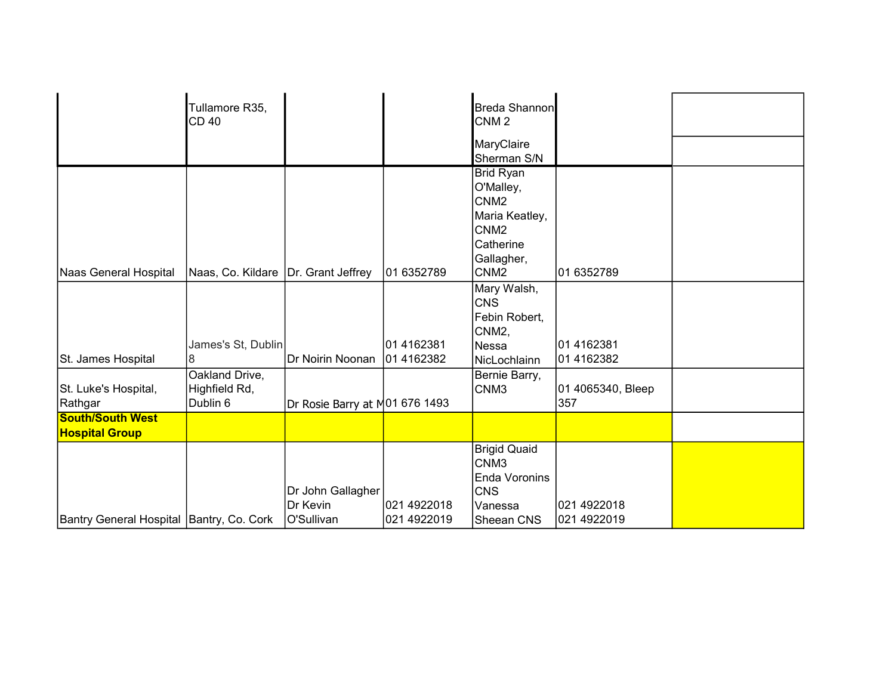|                                                  | Tullamore R35,                              |                                             |                            | <b>Breda Shannon</b>                                                                                                            |                            |  |
|--------------------------------------------------|---------------------------------------------|---------------------------------------------|----------------------------|---------------------------------------------------------------------------------------------------------------------------------|----------------------------|--|
|                                                  | CD40                                        |                                             |                            | CNM <sub>2</sub>                                                                                                                |                            |  |
|                                                  |                                             |                                             |                            | MaryClaire<br>Sherman S/N                                                                                                       |                            |  |
| Naas General Hospital                            | Naas, Co. Kildare   Dr. Grant Jeffrey       |                                             | 01 6352789                 | Brid Ryan<br>O'Malley,<br>CNM <sub>2</sub><br>Maria Keatley,<br>CNM <sub>2</sub><br>Catherine<br>Gallagher,<br>CNM <sub>2</sub> | 01 6352789                 |  |
| St. James Hospital                               | James's St, Dublin<br>8                     | Dr Noirin Noonan                            | 01 4162381<br>01 4162382   | Mary Walsh,<br><b>CNS</b><br>Febin Robert,<br>CNM <sub>2</sub> ,<br> Nessa<br>NicLochlainn                                      | 101 4162381<br>01 4162382  |  |
| St. Luke's Hospital,<br>Rathgar                  | Oakland Drive,<br>Highfield Rd,<br>Dublin 6 | Dr Rosie Barry at M01 676 1493              |                            | Bernie Barry,<br>CNM <sub>3</sub>                                                                                               | 01 4065340, Bleep<br>357   |  |
| <b>South/South West</b><br><b>Hospital Group</b> |                                             |                                             |                            |                                                                                                                                 |                            |  |
| Bantry General Hospital Bantry, Co. Cork         |                                             | Dr John Gallagher<br>Dr Kevin<br>O'Sullivan | 021 4922018<br>021 4922019 | <b>Brigid Quaid</b><br>CNM <sub>3</sub><br>Enda Voronins<br><b>CNS</b><br>Vanessa<br>Sheean CNS                                 | 021 4922018<br>021 4922019 |  |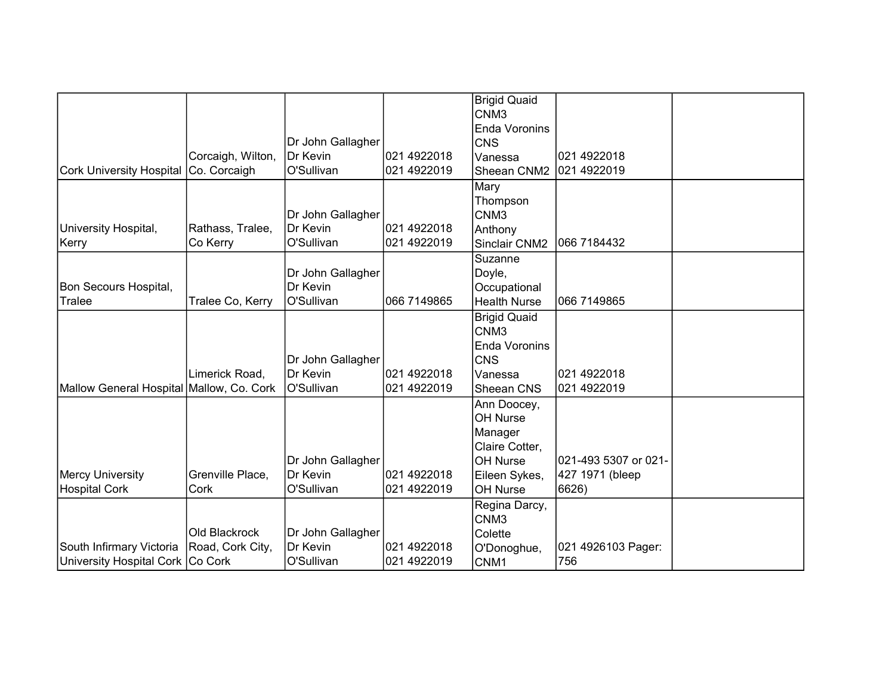|                                          |                   |                   |             | <b>Brigid Quaid</b>  |                      |  |
|------------------------------------------|-------------------|-------------------|-------------|----------------------|----------------------|--|
|                                          |                   |                   |             | CNM <sub>3</sub>     |                      |  |
|                                          |                   |                   |             | <b>Enda Voronins</b> |                      |  |
|                                          |                   | Dr John Gallagher |             | <b>CNS</b>           |                      |  |
|                                          | Corcaigh, Wilton, | <b>IDr Kevin</b>  | 021 4922018 | Vanessa              | 021 4922018          |  |
| <b>Cork University Hospital</b>          | Co. Corcaigh      | O'Sullivan        | 021 4922019 | Sheean CNM2          | 021 4922019          |  |
|                                          |                   |                   |             | Mary                 |                      |  |
|                                          |                   |                   |             | Thompson             |                      |  |
|                                          |                   | Dr John Gallagher |             | CNM <sub>3</sub>     |                      |  |
| University Hospital,                     | Rathass, Tralee,  | Dr Kevin          | 021 4922018 | Anthony              |                      |  |
| Kerry                                    | Co Kerry          | O'Sullivan        | 021 4922019 | Sinclair CNM2        | 066 7184432          |  |
|                                          |                   |                   |             | Suzanne              |                      |  |
|                                          |                   | Dr John Gallagher |             | Doyle,               |                      |  |
| Bon Secours Hospital,                    |                   | Dr Kevin          |             | Occupational         |                      |  |
| Tralee                                   | Tralee Co, Kerry  | O'Sullivan        | 066 7149865 | <b>Health Nurse</b>  | 066 7149865          |  |
|                                          |                   |                   |             | <b>Brigid Quaid</b>  |                      |  |
|                                          |                   |                   |             | CNM <sub>3</sub>     |                      |  |
|                                          |                   |                   |             | Enda Voronins        |                      |  |
|                                          |                   | Dr John Gallagher |             | <b>CNS</b>           |                      |  |
|                                          | Limerick Road,    | Dr Kevin          | 021 4922018 | Vanessa              | 021 4922018          |  |
| Mallow General Hospital Mallow, Co. Cork |                   | O'Sullivan        | 021 4922019 | Sheean CNS           | 021 4922019          |  |
|                                          |                   |                   |             | Ann Doocey,          |                      |  |
|                                          |                   |                   |             | OH Nurse             |                      |  |
|                                          |                   |                   |             | Manager              |                      |  |
|                                          |                   |                   |             | Claire Cotter,       |                      |  |
|                                          |                   | Dr John Gallagher |             | OH Nurse             | 021-493 5307 or 021- |  |
| <b>Mercy University</b>                  | Grenville Place,  | Dr Kevin          | 021 4922018 | Eileen Sykes,        | 427 1971 (bleep      |  |
| <b>Hospital Cork</b>                     | Cork              | O'Sullivan        | 021 4922019 | OH Nurse             | 6626)                |  |
|                                          |                   |                   |             | Regina Darcy,        |                      |  |
|                                          |                   |                   |             | CNM <sub>3</sub>     |                      |  |
|                                          | Old Blackrock     | Dr John Gallagher |             | Colette              |                      |  |
| South Infirmary Victoria                 | Road, Cork City,  | Dr Kevin          | 021 4922018 | O'Donoghue,          | 021 4926103 Pager:   |  |
| University Hospital Cork   Co Cork       |                   | O'Sullivan        | 021 4922019 | CNM1                 | 756                  |  |
|                                          |                   |                   |             |                      |                      |  |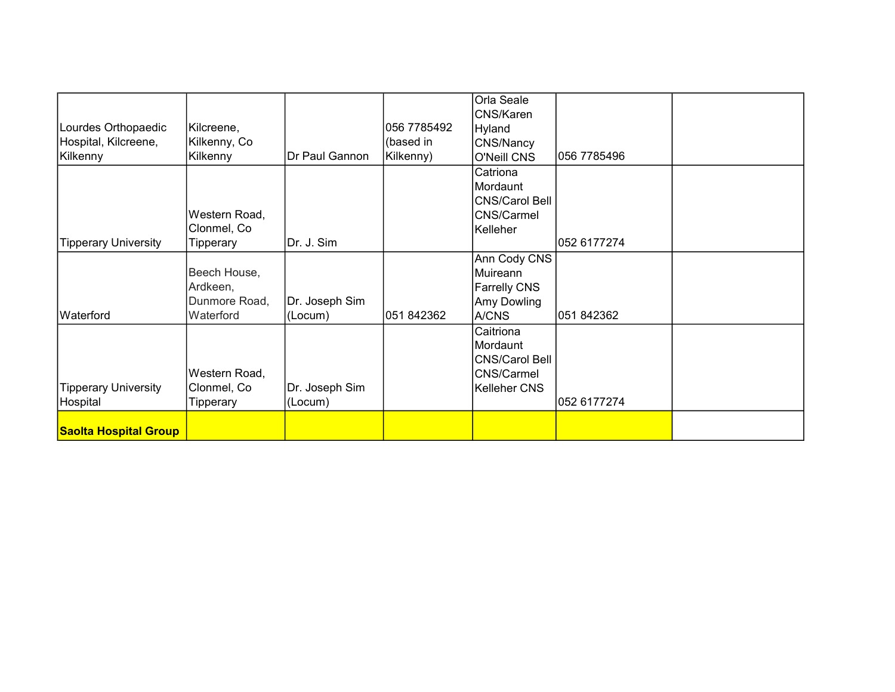|                              |               |                |             | Orla Seale            |             |  |
|------------------------------|---------------|----------------|-------------|-----------------------|-------------|--|
|                              |               |                |             | CNS/Karen             |             |  |
| Lourdes Orthopaedic          | Kilcreene,    |                | 056 7785492 | Hyland                |             |  |
| Hospital, Kilcreene,         |               |                | (based in   |                       |             |  |
|                              | Kilkenny, Co  |                |             | CNS/Nancy             |             |  |
| Kilkenny                     | Kilkenny      | Dr Paul Gannon | Kilkenny)   | O'Neill CNS           | 056 7785496 |  |
|                              |               |                |             | Catriona              |             |  |
|                              |               |                |             | Mordaunt              |             |  |
|                              |               |                |             | <b>CNS/Carol Bell</b> |             |  |
|                              | Western Road, |                |             | <b>CNS/Carmel</b>     |             |  |
|                              | Clonmel, Co   |                |             | Kelleher              |             |  |
| <b>Tipperary University</b>  | Tipperary     | Dr. J. Sim     |             |                       | 052 6177274 |  |
|                              |               |                |             | Ann Cody CNS          |             |  |
|                              | Beech House,  |                |             | Muireann              |             |  |
|                              | Ardkeen,      |                |             | <b>Farrelly CNS</b>   |             |  |
|                              | Dunmore Road, | Dr. Joseph Sim |             | Amy Dowling           |             |  |
| Waterford                    | Waterford     | (Locum)        | 051 842362  | A/CNS                 | 051 842362  |  |
|                              |               |                |             | Caitriona             |             |  |
|                              |               |                |             | Mordaunt              |             |  |
|                              |               |                |             | <b>CNS/Carol Bell</b> |             |  |
|                              | Western Road, |                |             | CNS/Carmel            |             |  |
| <b>Tipperary University</b>  | Clonmel, Co   | Dr. Joseph Sim |             | Kelleher CNS          |             |  |
| Hospital                     | Tipperary     | (Locum)        |             |                       | 052 6177274 |  |
|                              |               |                |             |                       |             |  |
| <b>Saolta Hospital Group</b> |               |                |             |                       |             |  |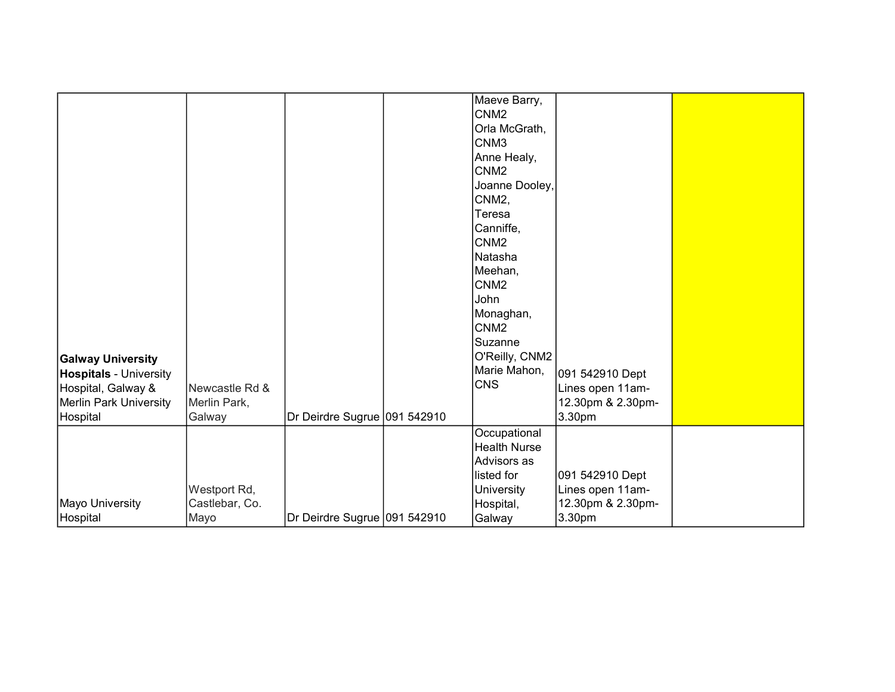| <b>Galway University</b><br><b>Hospitals - University</b><br>Hospital, Galway &<br><b>Merlin Park University</b> | Newcastle Rd &<br>Merlin Park,         |                              | Maeve Barry,<br>CNM <sub>2</sub><br>Orla McGrath,<br>CNM <sub>3</sub><br>Anne Healy,<br>CNM <sub>2</sub><br>Joanne Dooley,<br>CNM2,<br>Teresa<br>Canniffe,<br>CNM <sub>2</sub><br>Natasha<br>Meehan,<br>CNM <sub>2</sub><br>John<br>Monaghan,<br>CNM <sub>2</sub><br>Suzanne<br>O'Reilly, CNM2<br>Marie Mahon,<br><b>CNS</b> | 091 542910 Dept<br>Lines open 11am-<br>12.30pm & 2.30pm-           |  |
|------------------------------------------------------------------------------------------------------------------|----------------------------------------|------------------------------|------------------------------------------------------------------------------------------------------------------------------------------------------------------------------------------------------------------------------------------------------------------------------------------------------------------------------|--------------------------------------------------------------------|--|
| Hospital                                                                                                         | Galway                                 | Dr Deirdre Sugrue 091 542910 |                                                                                                                                                                                                                                                                                                                              | 3.30pm                                                             |  |
| Mayo University<br>Hospital                                                                                      | Westport Rd,<br>Castlebar, Co.<br>Mayo | Dr Deirdre Sugrue 091 542910 | Occupational<br><b>Health Nurse</b><br>Advisors as<br>listed for<br><b>University</b><br>Hospital,<br>Galway                                                                                                                                                                                                                 | 091 542910 Dept<br>Lines open 11am-<br>12.30pm & 2.30pm-<br>3.30pm |  |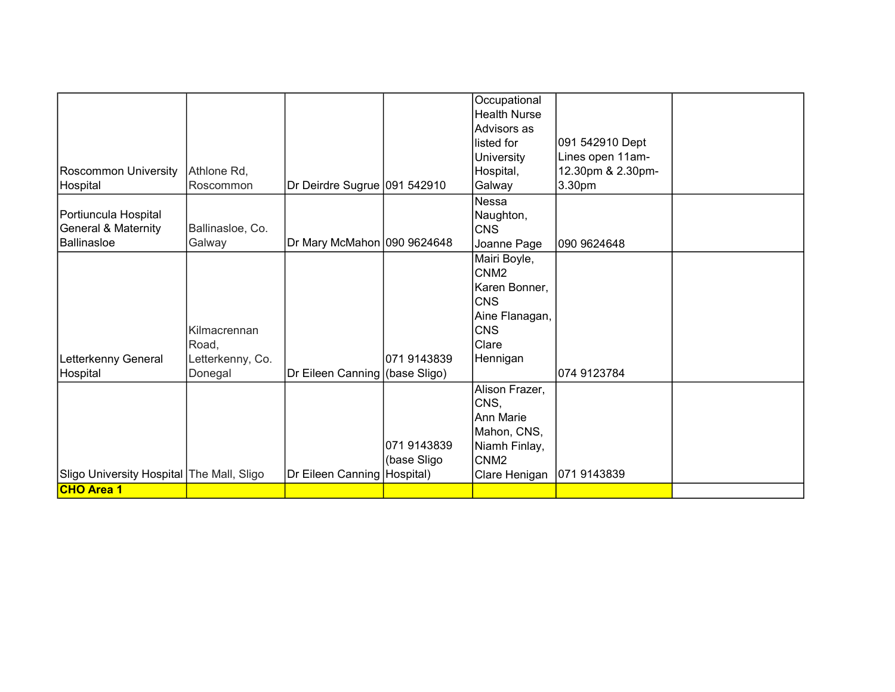|                                           |                  |                                |             | Occupational        |                   |  |
|-------------------------------------------|------------------|--------------------------------|-------------|---------------------|-------------------|--|
|                                           |                  |                                |             | <b>Health Nurse</b> |                   |  |
|                                           |                  |                                |             | Advisors as         |                   |  |
|                                           |                  |                                |             | listed for          | 091 542910 Dept   |  |
|                                           |                  |                                |             | University          | Lines open 11am-  |  |
| <b>Roscommon University</b>               | Athlone Rd,      |                                |             | Hospital,           | 12.30pm & 2.30pm- |  |
| Hospital                                  | <b>Roscommon</b> | Dr Deirdre Sugrue 091 542910   |             | Galway              | 3.30pm            |  |
|                                           |                  |                                |             | Nessa               |                   |  |
| Portiuncula Hospital                      |                  |                                |             | Naughton,           |                   |  |
| <b>General &amp; Maternity</b>            | Ballinasloe, Co. |                                |             | CNS                 |                   |  |
| Ballinasloe                               | Galway           | Dr Mary McMahon 090 9624648    |             | Joanne Page         | 090 9624648       |  |
|                                           |                  |                                |             | Mairi Boyle,        |                   |  |
|                                           |                  |                                |             | ICNM2               |                   |  |
|                                           |                  |                                |             | Karen Bonner,       |                   |  |
|                                           |                  |                                |             | CNS                 |                   |  |
|                                           |                  |                                |             | Aine Flanagan,      |                   |  |
|                                           | Kilmacrennan     |                                |             | <b>CNS</b>          |                   |  |
|                                           | Road,            |                                |             | <b>Clare</b>        |                   |  |
| Letterkenny General                       | Letterkenny, Co. |                                | 071 9143839 | Hennigan            |                   |  |
| Hospital                                  | Donegal          | Dr Eileen Canning (base Sligo) |             |                     | 074 9123784       |  |
|                                           |                  |                                |             | Alison Frazer,      |                   |  |
|                                           |                  |                                |             | CNS,                |                   |  |
|                                           |                  |                                |             | Ann Marie           |                   |  |
|                                           |                  |                                |             | Mahon, CNS,         |                   |  |
|                                           |                  |                                | 071 9143839 | Niamh Finlay,       |                   |  |
|                                           |                  |                                | (base Sligo | ICNM2               |                   |  |
| Sligo University Hospital The Mall, Sligo |                  | Dr Eileen Canning Hospital)    |             | Clare Henigan       | 071 9143839       |  |
| <b>CHO Area 1</b>                         |                  |                                |             |                     |                   |  |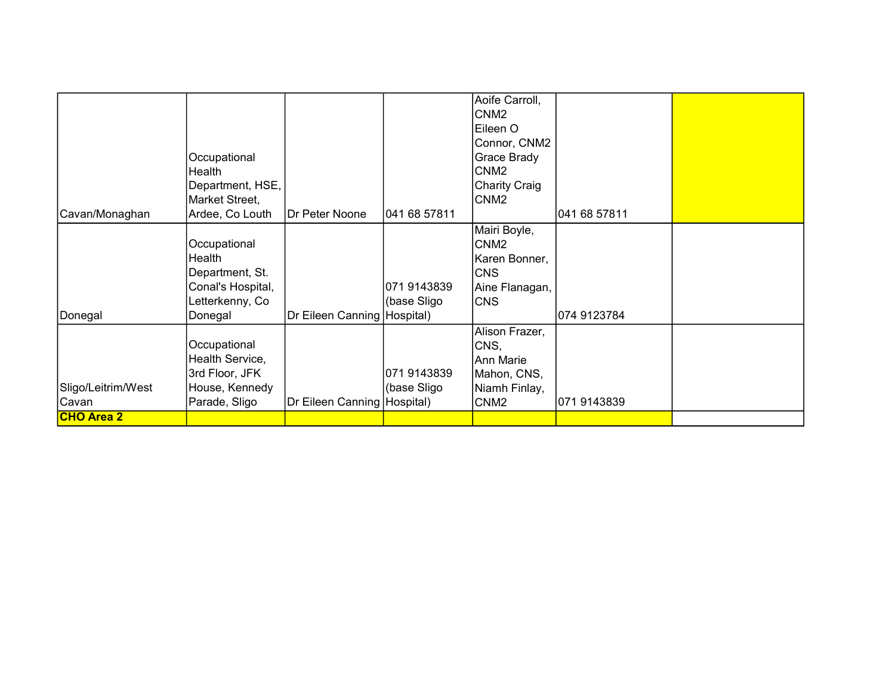|                    |                   |                               |              | Aoife Carroll,       |              |  |
|--------------------|-------------------|-------------------------------|--------------|----------------------|--------------|--|
|                    |                   |                               |              | CNM <sub>2</sub>     |              |  |
|                    |                   |                               |              | Eileen O             |              |  |
|                    |                   |                               |              |                      |              |  |
|                    |                   |                               |              | Connor, CNM2         |              |  |
|                    | Occupational      |                               |              | Grace Brady          |              |  |
|                    | Health            |                               |              | CNM <sub>2</sub>     |              |  |
|                    | Department, HSE,  |                               |              | <b>Charity Craig</b> |              |  |
|                    | Market Street,    |                               |              | CNM2                 |              |  |
| Cavan/Monaghan     | Ardee, Co Louth   | <b>IDr Peter Noone</b>        | 041 68 57811 |                      | 041 68 57811 |  |
|                    |                   |                               |              | Mairi Boyle,         |              |  |
|                    | Occupational      |                               |              | CNM <sub>2</sub>     |              |  |
|                    | Health            |                               |              | Karen Bonner,        |              |  |
|                    | Department, St.   |                               |              | <b>CNS</b>           |              |  |
|                    | Conal's Hospital, |                               | 071 9143839  | Aine Flanagan,       |              |  |
|                    | Letterkenny, Co   |                               | (base Sligo  | <b>CNS</b>           |              |  |
| Donegal            | Donegal           | Dr Eileen Canning (Hospital)  |              |                      | 074 9123784  |  |
|                    |                   |                               |              | Alison Frazer,       |              |  |
|                    | Occupational      |                               |              | CNS,                 |              |  |
|                    | Health Service,   |                               |              | Ann Marie            |              |  |
|                    |                   |                               |              |                      |              |  |
|                    | 3rd Floor, JFK    |                               | 071 9143839  | Mahon, CNS,          |              |  |
| Sligo/Leitrim/West | House, Kennedy    |                               | (base Sligo  | Niamh Finlay,        |              |  |
| Cavan              | Parade, Sligo     | Dr Eileen Canning   Hospital) |              | CNM <sub>2</sub>     | 071 9143839  |  |
| <b>CHO Area 2</b>  |                   |                               |              |                      |              |  |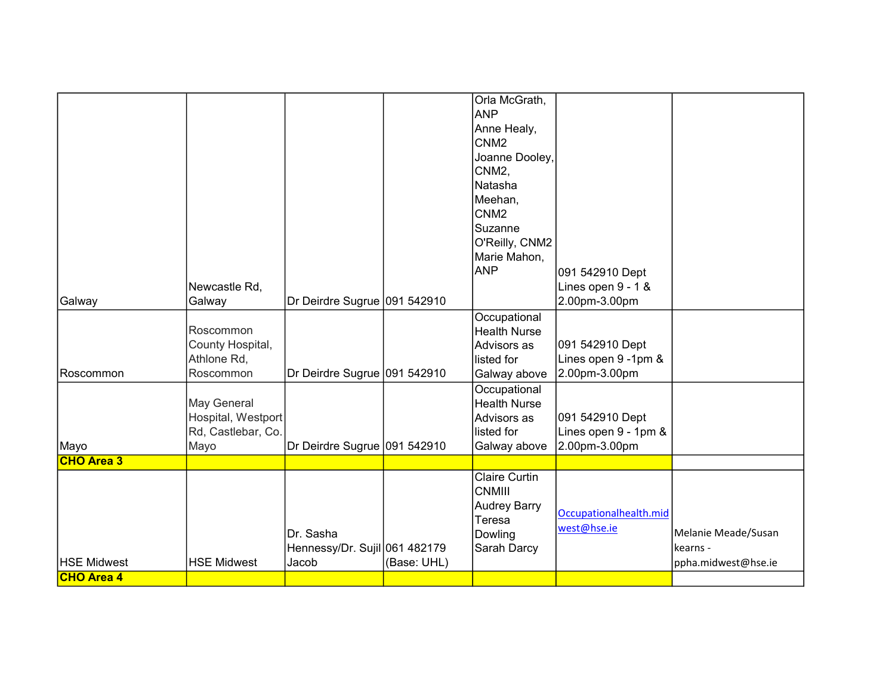|                   |                    |                               |             | Orla McGrath,        |                        |                     |
|-------------------|--------------------|-------------------------------|-------------|----------------------|------------------------|---------------------|
|                   |                    |                               |             | <b>ANP</b>           |                        |                     |
|                   |                    |                               |             | Anne Healy,          |                        |                     |
|                   |                    |                               |             | CNM <sub>2</sub>     |                        |                     |
|                   |                    |                               |             | Joanne Dooley,       |                        |                     |
|                   |                    |                               |             | CNM <sub>2</sub> ,   |                        |                     |
|                   |                    |                               |             | Natasha              |                        |                     |
|                   |                    |                               |             | Meehan,              |                        |                     |
|                   |                    |                               |             | CNM <sub>2</sub>     |                        |                     |
|                   |                    |                               |             | Suzanne              |                        |                     |
|                   |                    |                               |             | O'Reilly, CNM2       |                        |                     |
|                   |                    |                               |             | Marie Mahon,         |                        |                     |
|                   |                    |                               |             | ANP                  | 091 542910 Dept        |                     |
|                   | Newcastle Rd,      |                               |             |                      | Lines open 9 - 1 &     |                     |
| Galway            | Galway             | Dr Deirdre Sugrue 091 542910  |             |                      | 2.00pm-3.00pm          |                     |
|                   |                    |                               |             | Occupational         |                        |                     |
|                   | Roscommon          |                               |             | <b>Health Nurse</b>  |                        |                     |
|                   | County Hospital,   |                               |             | Advisors as          | 091 542910 Dept        |                     |
|                   | Athlone Rd,        |                               |             | llisted for          | Lines open 9 -1pm &    |                     |
| Roscommon         | Roscommon          | Dr Deirdre Sugrue 091 542910  |             | Galway above         | 2.00pm-3.00pm          |                     |
|                   |                    |                               |             | Occupational         |                        |                     |
|                   | May General        |                               |             | <b>Health Nurse</b>  |                        |                     |
|                   | Hospital, Westport |                               |             | Advisors as          | 091 542910 Dept        |                     |
|                   | Rd, Castlebar, Co. |                               |             | listed for           | Lines open 9 - 1pm &   |                     |
| Mayo              | Mayo               | Dr Deirdre Sugrue 091 542910  |             | Galway above         | 2.00pm-3.00pm          |                     |
| <b>CHO Area 3</b> |                    |                               |             |                      |                        |                     |
|                   |                    |                               |             | <b>Claire Curtin</b> |                        |                     |
|                   |                    |                               |             | <b>CNMIII</b>        |                        |                     |
|                   |                    |                               |             | <b>Audrey Barry</b>  | Occupationalhealth.mid |                     |
|                   |                    |                               |             | Teresa               | west@hse.ie            |                     |
|                   |                    | Dr. Sasha                     |             | Dowling              |                        | Melanie Meade/Susan |
|                   |                    | Hennessy/Dr. Sujil 061 482179 |             | Sarah Darcy          |                        | kearns -            |
| HSE Midwest       | <b>HSE Midwest</b> | Jacob                         | (Base: UHL) |                      |                        | ppha.midwest@hse.ie |
| <b>CHO Area 4</b> |                    |                               |             |                      |                        |                     |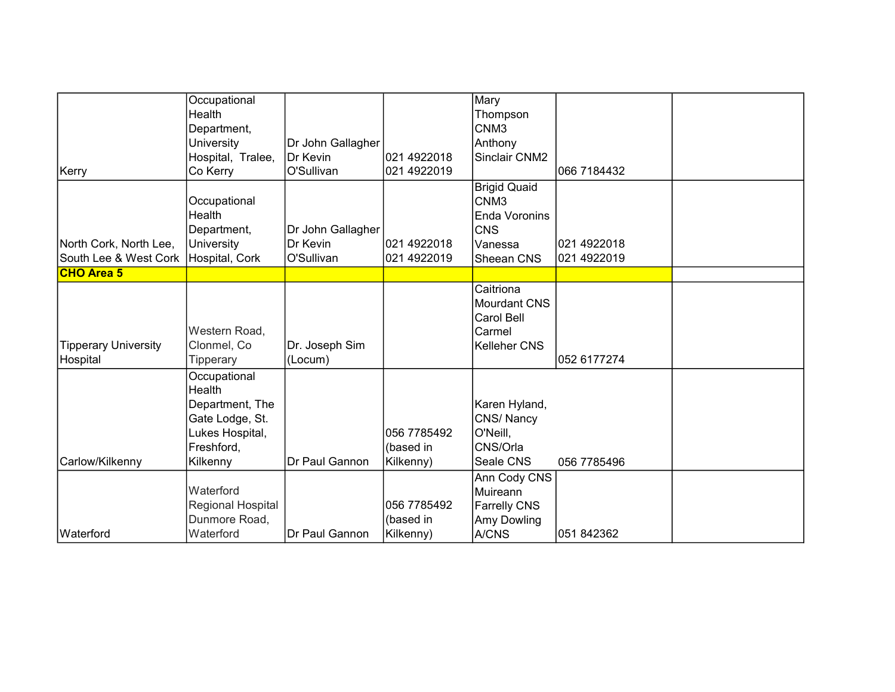|                                        | Occupational      |                   |             | Mary                |             |  |
|----------------------------------------|-------------------|-------------------|-------------|---------------------|-------------|--|
|                                        | Health            |                   |             | Thompson            |             |  |
|                                        | Department,       |                   |             | CNM <sub>3</sub>    |             |  |
|                                        | University        | Dr John Gallagher |             | Anthony             |             |  |
|                                        | Hospital, Tralee, | Dr Kevin          | 021 4922018 | Sinclair CNM2       |             |  |
| Kerry                                  | Co Kerry          | O'Sullivan        | 021 4922019 |                     | 066 7184432 |  |
|                                        |                   |                   |             | <b>Brigid Quaid</b> |             |  |
|                                        | Occupational      |                   |             | CNM <sub>3</sub>    |             |  |
|                                        | Health            |                   |             | Enda Voronins       |             |  |
|                                        | Department,       | Dr John Gallagher |             | <b>CNS</b>          |             |  |
| North Cork, North Lee,                 | University        | Dr Kevin          | 021 4922018 | Vanessa             | 021 4922018 |  |
| South Lee & West Cork   Hospital, Cork |                   | O'Sullivan        | 021 4922019 | Sheean CNS          | 021 4922019 |  |
| <b>CHO Area 5</b>                      |                   |                   |             |                     |             |  |
|                                        |                   |                   |             | Caitriona           |             |  |
|                                        |                   |                   |             | <b>Mourdant CNS</b> |             |  |
|                                        |                   |                   |             | Carol Bell          |             |  |
|                                        | Western Road,     |                   |             | Carmel              |             |  |
| Tipperary University                   | Clonmel, Co       | Dr. Joseph Sim    |             | <b>Kelleher CNS</b> |             |  |
| Hospital                               | Tipperary         | (Locum)           |             |                     | 052 6177274 |  |
|                                        | Occupational      |                   |             |                     |             |  |
|                                        | Health            |                   |             |                     |             |  |
|                                        | Department, The   |                   |             | Karen Hyland,       |             |  |
|                                        | Gate Lodge, St.   |                   |             | CNS/Nancy           |             |  |
|                                        | Lukes Hospital,   |                   | 056 7785492 | O'Neill,            |             |  |
|                                        | Freshford,        |                   | (based in   | CNS/Orla            |             |  |
| Carlow/Kilkenny                        | Kilkenny          | Dr Paul Gannon    | Kilkenny)   | Seale CNS           | 056 7785496 |  |
|                                        |                   |                   |             | Ann Cody CNS        |             |  |
|                                        | Waterford         |                   |             | Muireann            |             |  |
|                                        | Regional Hospital |                   | 056 7785492 | <b>Farrelly CNS</b> |             |  |
|                                        | Dunmore Road,     |                   | (based in   | Amy Dowling         |             |  |
| Waterford                              | Waterford         | Dr Paul Gannon    | Kilkenny)   | A/CNS               | 051 842362  |  |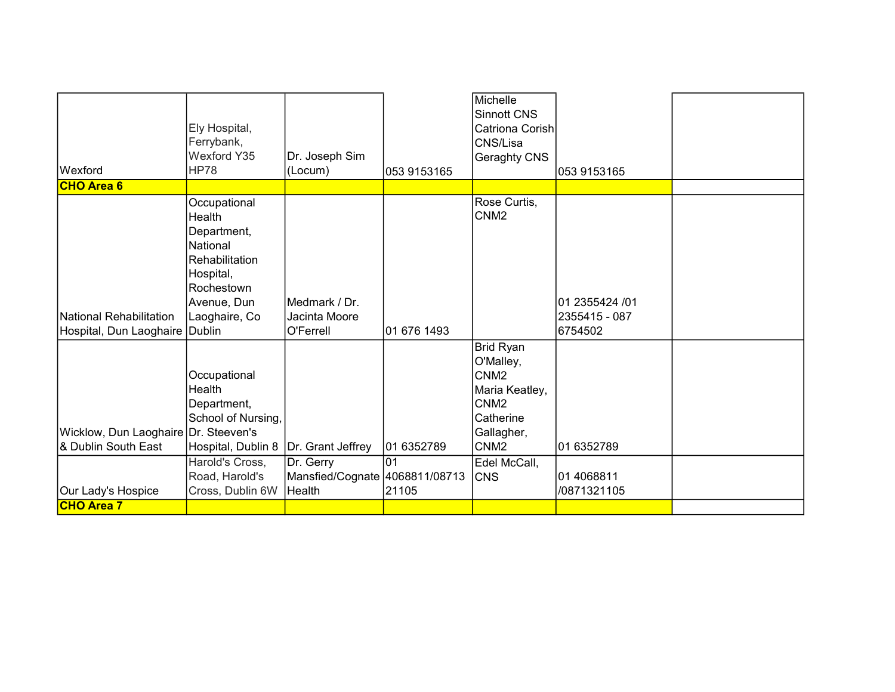|                                      | Ely Hospital,<br>Ferrybank,<br>Wexford Y35                                                                                     | Dr. Joseph Sim                                        |             | Michelle<br><b>Sinnott CNS</b><br>Catriona Corish<br>CNS/Lisa<br>Geraghty CNS                        |                                 |  |
|--------------------------------------|--------------------------------------------------------------------------------------------------------------------------------|-------------------------------------------------------|-------------|------------------------------------------------------------------------------------------------------|---------------------------------|--|
| Wexford                              | HP78                                                                                                                           | (Locum)                                               | 053 9153165 |                                                                                                      | 1053 9153165                    |  |
| <b>CHO Area 6</b>                    |                                                                                                                                |                                                       |             |                                                                                                      |                                 |  |
| <b>National Rehabilitation</b>       | Occupational<br>Health<br>Department,<br>National<br>Rehabilitation<br>Hospital,<br>Rochestown<br>Avenue, Dun<br>Laoghaire, Co | Medmark / Dr.<br>Jacinta Moore                        |             | Rose Curtis,<br>CNM <sub>2</sub>                                                                     | 01 2355424 /01<br>2355415 - 087 |  |
| Hospital, Dun Laoghaire   Dublin     |                                                                                                                                | O'Ferrell                                             | 01 676 1493 |                                                                                                      | 6754502                         |  |
|                                      | Occupational<br>Health<br>Department,<br>School of Nursing,                                                                    |                                                       |             | <b>Brid Ryan</b><br>O'Malley,<br>CNM <sub>2</sub><br>Maria Keatley,<br>CNM <sub>2</sub><br>Catherine |                                 |  |
| Wicklow, Dun Laoghaire Dr. Steeven's |                                                                                                                                |                                                       |             | Gallagher,                                                                                           |                                 |  |
| & Dublin South East                  | Hospital, Dublin 8                                                                                                             | Dr. Grant Jeffrey                                     | 01 6352789  | CNM <sub>2</sub>                                                                                     | 01 6352789                      |  |
| Our Lady's Hospice                   | Harold's Cross,<br>Road, Harold's<br>Cross, Dublin 6W                                                                          | Dr. Gerry<br>Mansfied/Cognate 4068811/08713<br>Health | 01<br>21105 | Edel McCall,<br><b>CNS</b>                                                                           | 01 4068811<br>/0871321105       |  |
| <b>CHO Area 7</b>                    |                                                                                                                                |                                                       |             |                                                                                                      |                                 |  |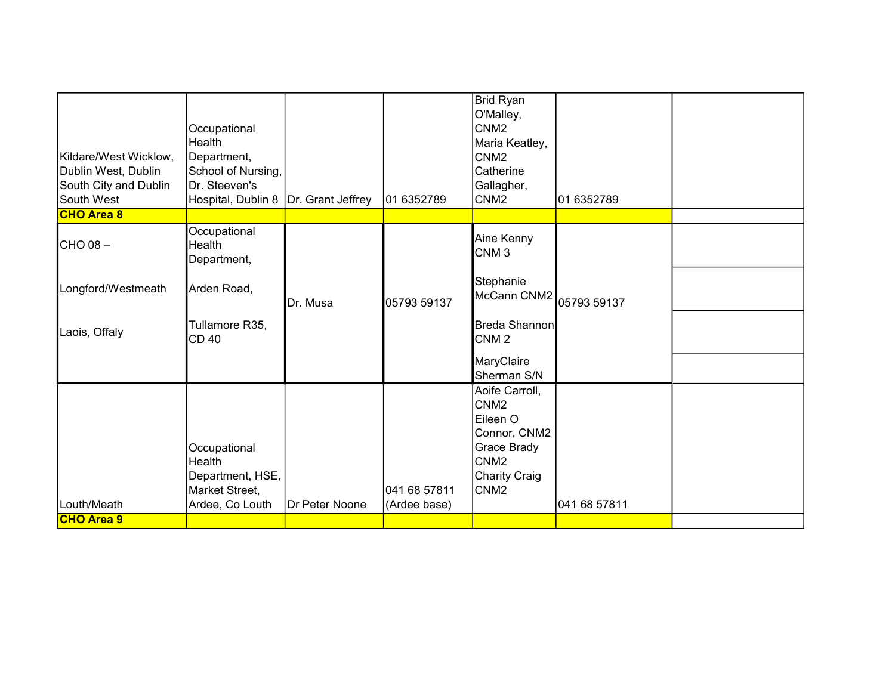| Kildare/West Wicklow,<br>Dublin West, Dublin | Occupational<br>Health<br>Department,<br>School of Nursing,                     |                |                              | <b>Brid Ryan</b><br>O'Malley,<br>CNM <sub>2</sub><br>Maria Keatley,<br>CNM <sub>2</sub><br>Catherine                                   |              |  |
|----------------------------------------------|---------------------------------------------------------------------------------|----------------|------------------------------|----------------------------------------------------------------------------------------------------------------------------------------|--------------|--|
| South City and Dublin                        | Dr. Steeven's                                                                   |                |                              | Gallagher,                                                                                                                             |              |  |
| South West                                   | Hospital, Dublin 8   Dr. Grant Jeffrey                                          |                | 01 6352789                   | CNM <sub>2</sub>                                                                                                                       | 01 6352789   |  |
| <b>CHO Area 8</b>                            |                                                                                 |                |                              |                                                                                                                                        |              |  |
| $ICHO08 -$                                   | Occupational<br>Health<br>Department,                                           |                |                              | Aine Kenny<br>CNM <sub>3</sub>                                                                                                         |              |  |
| Longford/Westmeath                           | Arden Road,                                                                     | Dr. Musa       | 05793 59137                  | Stephanie<br>McCann CNM2 05793 59137                                                                                                   |              |  |
| Laois, Offaly                                | Tullamore R35,<br>CD40                                                          |                |                              | Breda Shannon<br>CNM <sub>2</sub>                                                                                                      |              |  |
|                                              |                                                                                 |                |                              | MaryClaire<br>Sherman S/N                                                                                                              |              |  |
| Louth/Meath                                  | Occupational<br>Health<br>Department, HSE,<br>Market Street,<br>Ardee, Co Louth | Dr Peter Noone | 041 68 57811<br>(Ardee base) | Aoife Carroll,<br>CNM <sub>2</sub><br>Eileen O<br>Connor, CNM2<br>Grace Brady<br>CNM <sub>2</sub><br>Charity Craig<br>CNM <sub>2</sub> | 041 68 57811 |  |
| <b>CHO Area 9</b>                            |                                                                                 |                |                              |                                                                                                                                        |              |  |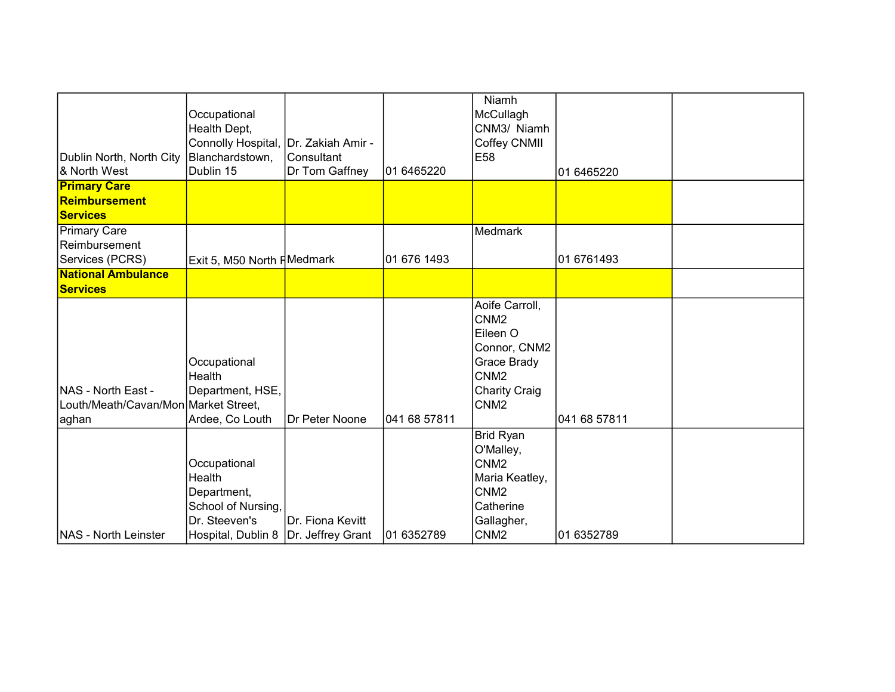| Dublin North, North City<br>& North West                            | Occupational<br>Health Dept,<br>Connolly Hospital, Dr. Zakiah Amir -<br>Blanchardstown,<br>Dublin 15                   | Consultant<br>Dr Tom Gaffney | 01 6465220   | Niamh<br>McCullagh<br>CNM3/ Niamh<br>Coffey CNMII<br>E58                                                                                      | 01 6465220   |  |
|---------------------------------------------------------------------|------------------------------------------------------------------------------------------------------------------------|------------------------------|--------------|-----------------------------------------------------------------------------------------------------------------------------------------------|--------------|--|
| <b>Primary Care</b><br>Reimbursement<br><b>Services</b>             |                                                                                                                        |                              |              |                                                                                                                                               |              |  |
| Primary Care<br>Reimbursement<br>Services (PCRS)                    | Exit 5, M50 North HMedmark                                                                                             |                              | 01 676 1493  | Medmark                                                                                                                                       | 01 6761493   |  |
| <b>National Ambulance</b><br>Services                               |                                                                                                                        |                              |              |                                                                                                                                               |              |  |
| NAS - North East -<br>Louth/Meath/Cavan/Mon Market Street,<br>aghan | Occupational<br>Health<br>Department, HSE,<br>Ardee, Co Louth                                                          | IDr Peter Noone              | 041 68 57811 | Aoife Carroll,<br>CNM <sub>2</sub><br>Eileen O<br>Connor, CNM2<br>Grace Brady<br>CNM <sub>2</sub><br><b>Charity Craig</b><br>CNM <sub>2</sub> | 041 68 57811 |  |
| <b>NAS - North Leinster</b>                                         | Occupational<br>Health<br>Department,<br>School of Nursing,<br>Dr. Steeven's<br>Hospital, Dublin 8   Dr. Jeffrey Grant | Dr. Fiona Kevitt             | 01 6352789   | Brid Ryan<br>O'Malley,<br>CNM <sub>2</sub><br>Maria Keatley,<br>CNM <sub>2</sub><br>Catherine<br>Gallagher,<br>CNM <sub>2</sub>               | 01 6352789   |  |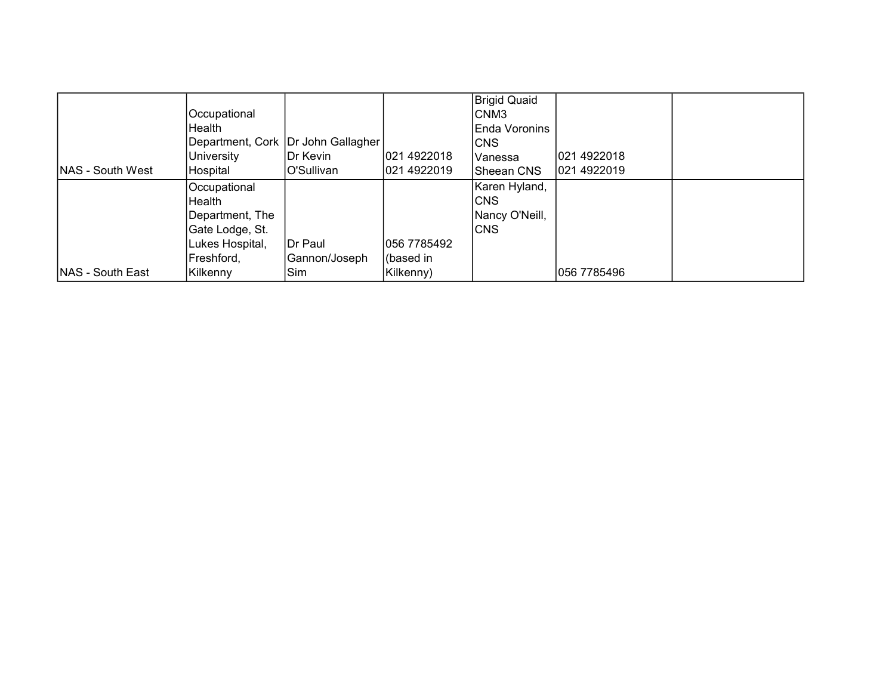|                          |                 |                                      |             | Brigid Quaid   |             |  |
|--------------------------|-----------------|--------------------------------------|-------------|----------------|-------------|--|
|                          | Occupational    |                                      |             | CNM3           |             |  |
|                          | Health          |                                      |             | Enda Voronins  |             |  |
|                          |                 | Department, Cork   Dr John Gallagher |             | ICNS           |             |  |
|                          | University      | IDr Kevin                            | 021 4922018 | IVanessa       | 021 4922018 |  |
| <b>INAS - South West</b> | Hospital        | O'Sullivan                           | 021 4922019 | lSheean CNS    | 021 4922019 |  |
|                          | Occupational    |                                      |             | Karen Hyland,  |             |  |
|                          | Health          |                                      |             | ICNS.          |             |  |
|                          | Department, The |                                      |             | Nancy O'Neill, |             |  |
|                          | Gate Lodge, St. |                                      |             | ICNS           |             |  |
|                          | Lukes Hospital, | <b>IDr Paul</b>                      | 056 7785492 |                |             |  |
|                          | Freshford,      | Gannon/Joseph                        | (based in   |                |             |  |
| <b>INAS - South East</b> | Kilkenny        | Sim                                  | Kilkenny)   |                | 056 7785496 |  |